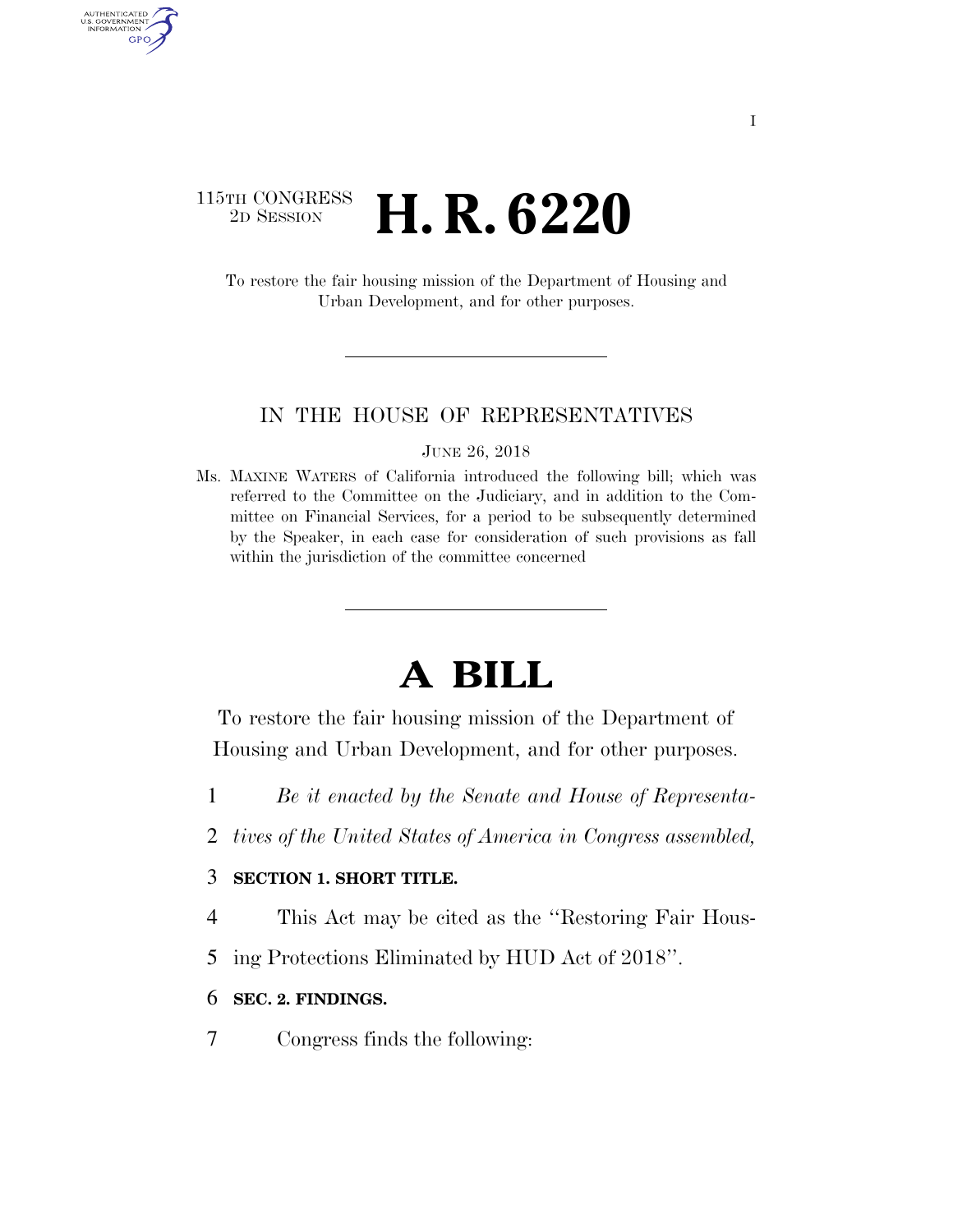### 115TH CONGRESS <sup>2D SESSION</sup> **H. R. 6220**

AUTHENTICATED U.S. GOVERNMENT GPO

> To restore the fair housing mission of the Department of Housing and Urban Development, and for other purposes.

#### IN THE HOUSE OF REPRESENTATIVES

#### JUNE 26, 2018

Ms. MAXINE WATERS of California introduced the following bill; which was referred to the Committee on the Judiciary, and in addition to the Committee on Financial Services, for a period to be subsequently determined by the Speaker, in each case for consideration of such provisions as fall within the jurisdiction of the committee concerned

## **A BILL**

To restore the fair housing mission of the Department of Housing and Urban Development, and for other purposes.

- 1 *Be it enacted by the Senate and House of Representa-*
- 2 *tives of the United States of America in Congress assembled,*

#### 3 **SECTION 1. SHORT TITLE.**

- 4 This Act may be cited as the ''Restoring Fair Hous-
- 5 ing Protections Eliminated by HUD Act of 2018''.

#### 6 **SEC. 2. FINDINGS.**

7 Congress finds the following: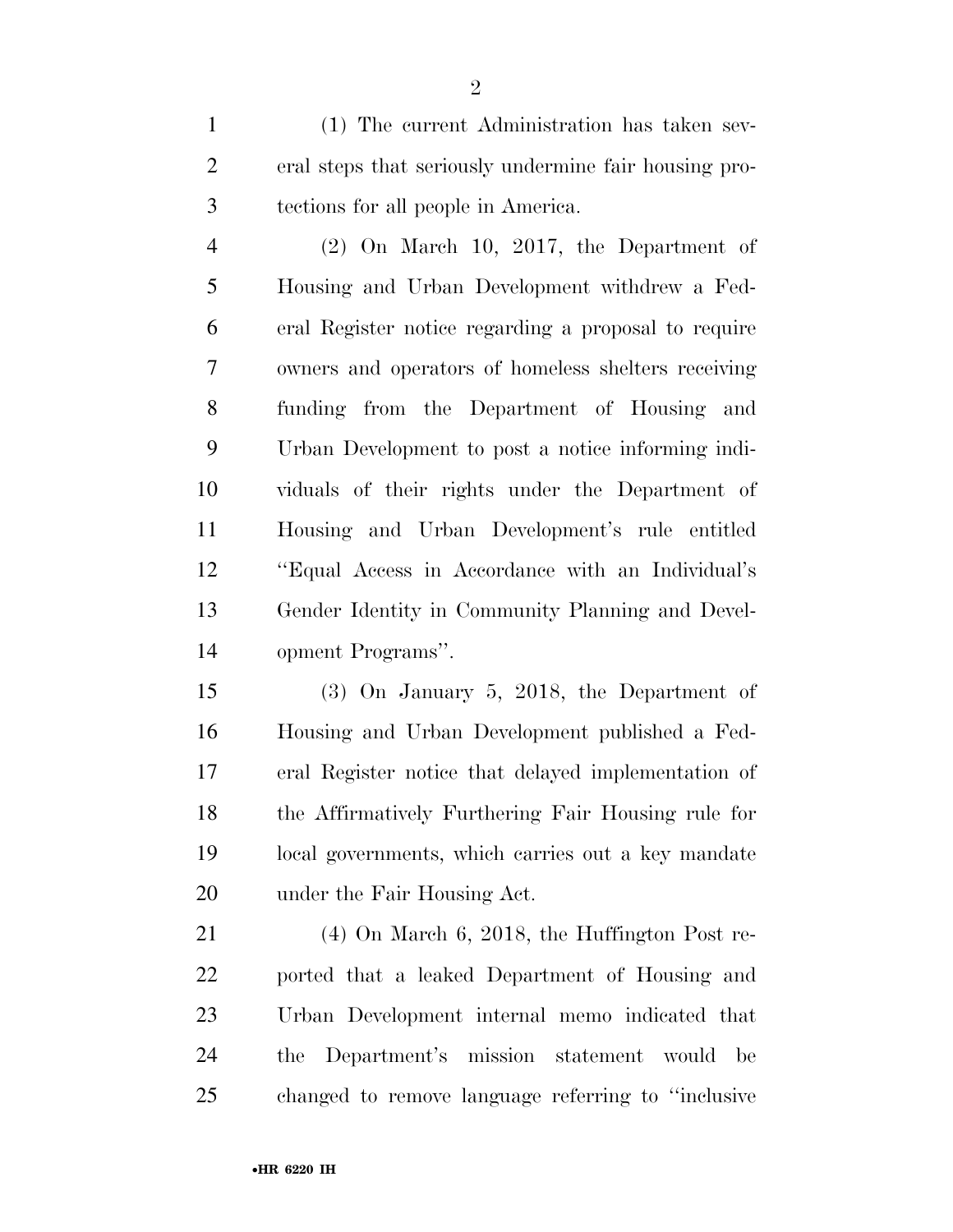(1) The current Administration has taken sev- eral steps that seriously undermine fair housing pro-tections for all people in America.

 (2) On March 10, 2017, the Department of Housing and Urban Development withdrew a Fed- eral Register notice regarding a proposal to require owners and operators of homeless shelters receiving funding from the Department of Housing and Urban Development to post a notice informing indi- viduals of their rights under the Department of Housing and Urban Development's rule entitled ''Equal Access in Accordance with an Individual's Gender Identity in Community Planning and Devel-opment Programs''.

 (3) On January 5, 2018, the Department of Housing and Urban Development published a Fed- eral Register notice that delayed implementation of the Affirmatively Furthering Fair Housing rule for local governments, which carries out a key mandate under the Fair Housing Act.

 (4) On March 6, 2018, the Huffington Post re- ported that a leaked Department of Housing and Urban Development internal memo indicated that the Department's mission statement would be changed to remove language referring to ''inclusive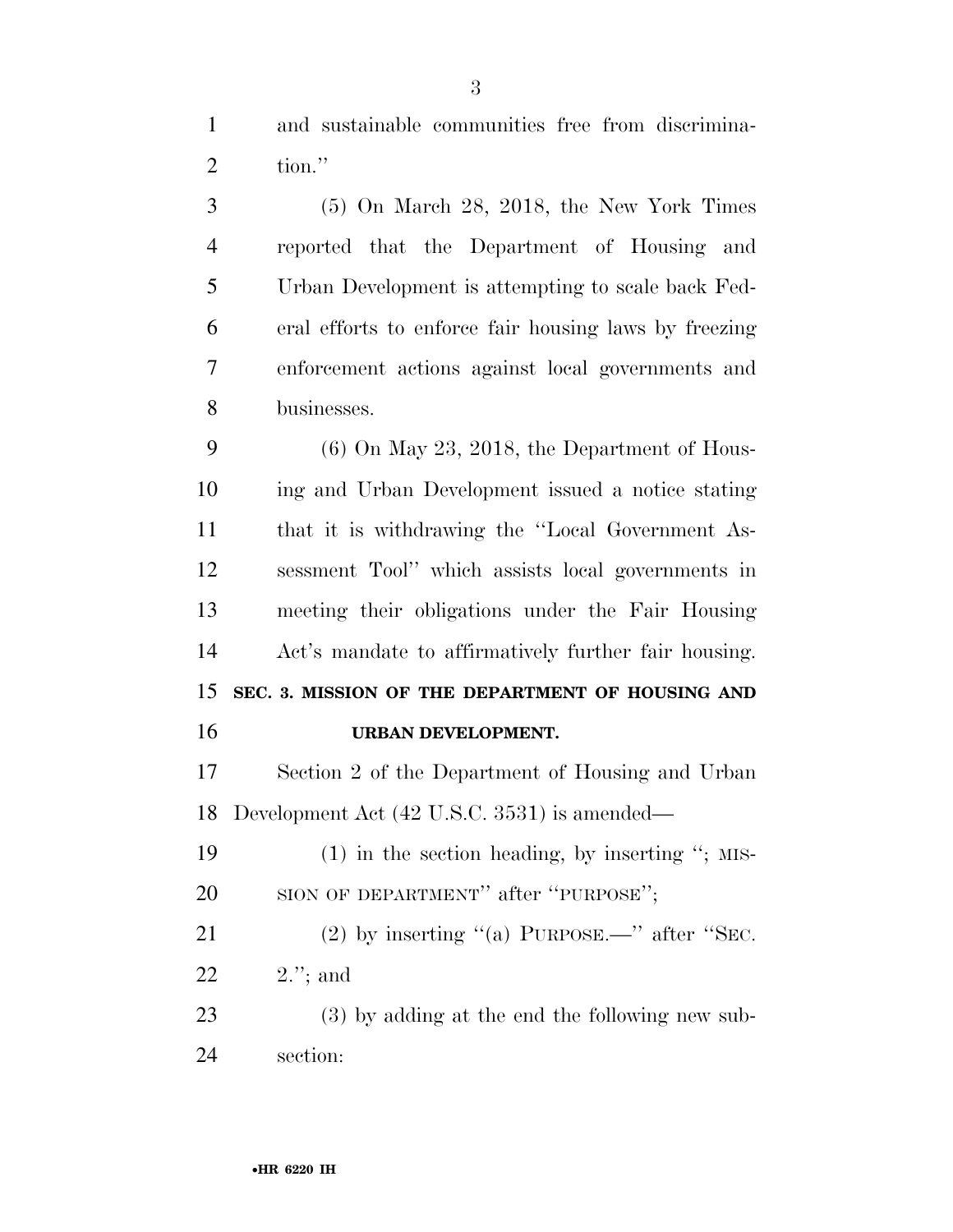and sustainable communities free from discrimina-tion.''

 (5) On March 28, 2018, the New York Times reported that the Department of Housing and Urban Development is attempting to scale back Fed- eral efforts to enforce fair housing laws by freezing enforcement actions against local governments and businesses.

 (6) On May 23, 2018, the Department of Hous- ing and Urban Development issued a notice stating that it is withdrawing the ''Local Government As- sessment Tool'' which assists local governments in meeting their obligations under the Fair Housing Act's mandate to affirmatively further fair housing. **SEC. 3. MISSION OF THE DEPARTMENT OF HOUSING AND** 

#### **URBAN DEVELOPMENT.**

 Section 2 of the Department of Housing and Urban Development Act (42 U.S.C. 3531) is amended—

 (1) in the section heading, by inserting ''; MIS-20 SION OF DEPARTMENT" after "PURPOSE";

21 (2) by inserting "(a) PURPOSE.—" after "SEC. 2.''; and

 (3) by adding at the end the following new sub-section: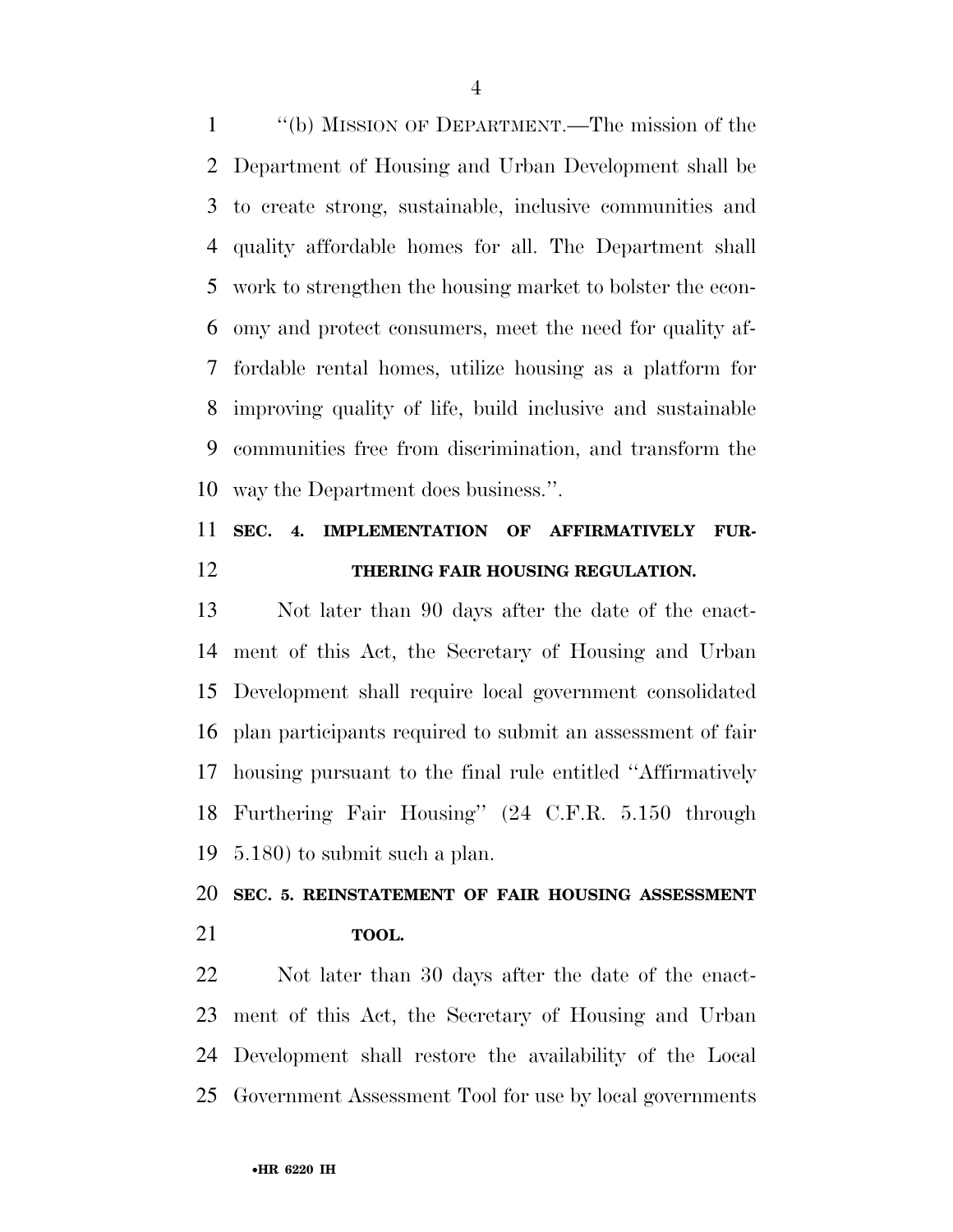''(b) MISSION OF DEPARTMENT.—The mission of the Department of Housing and Urban Development shall be to create strong, sustainable, inclusive communities and quality affordable homes for all. The Department shall work to strengthen the housing market to bolster the econ- omy and protect consumers, meet the need for quality af- fordable rental homes, utilize housing as a platform for improving quality of life, build inclusive and sustainable communities free from discrimination, and transform the way the Department does business.''.

### **SEC. 4. IMPLEMENTATION OF AFFIRMATIVELY FUR-THERING FAIR HOUSING REGULATION.**

 Not later than 90 days after the date of the enact- ment of this Act, the Secretary of Housing and Urban Development shall require local government consolidated plan participants required to submit an assessment of fair housing pursuant to the final rule entitled ''Affirmatively Furthering Fair Housing'' (24 C.F.R. 5.150 through 5.180) to submit such a plan.

## **SEC. 5. REINSTATEMENT OF FAIR HOUSING ASSESSMENT TOOL.**

 Not later than 30 days after the date of the enact- ment of this Act, the Secretary of Housing and Urban Development shall restore the availability of the Local Government Assessment Tool for use by local governments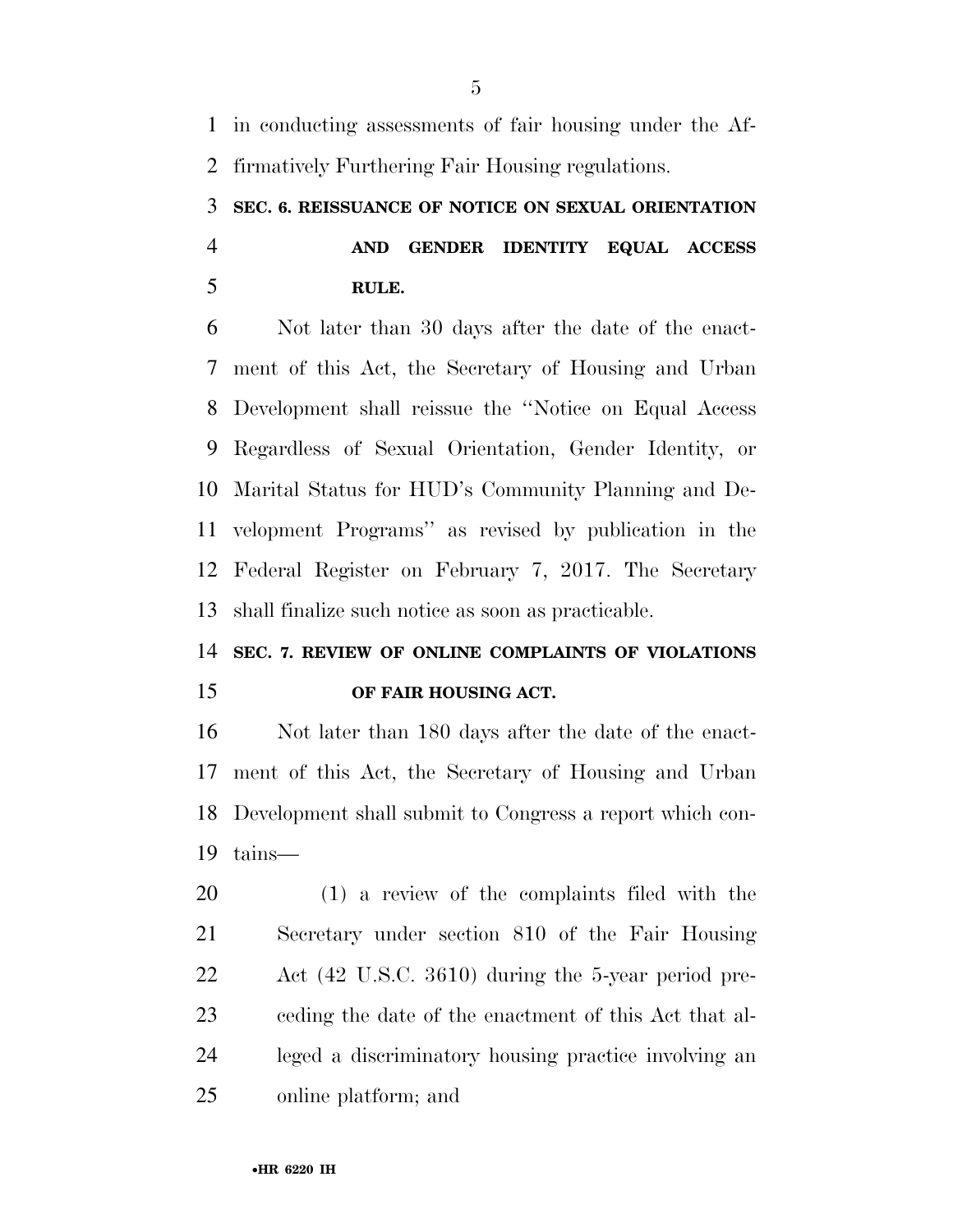in conducting assessments of fair housing under the Af-firmatively Furthering Fair Housing regulations.

# **SEC. 6. REISSUANCE OF NOTICE ON SEXUAL ORIENTATION**

### **AND GENDER IDENTITY EQUAL ACCESS RULE.**

 Not later than 30 days after the date of the enact- ment of this Act, the Secretary of Housing and Urban Development shall reissue the ''Notice on Equal Access Regardless of Sexual Orientation, Gender Identity, or Marital Status for HUD's Community Planning and De- velopment Programs'' as revised by publication in the Federal Register on February 7, 2017. The Secretary shall finalize such notice as soon as practicable.

### **SEC. 7. REVIEW OF ONLINE COMPLAINTS OF VIOLATIONS OF FAIR HOUSING ACT.**

 Not later than 180 days after the date of the enact- ment of this Act, the Secretary of Housing and Urban Development shall submit to Congress a report which con-tains—

 (1) a review of the complaints filed with the Secretary under section 810 of the Fair Housing Act (42 U.S.C. 3610) during the 5-year period pre- ceding the date of the enactment of this Act that al- leged a discriminatory housing practice involving an online platform; and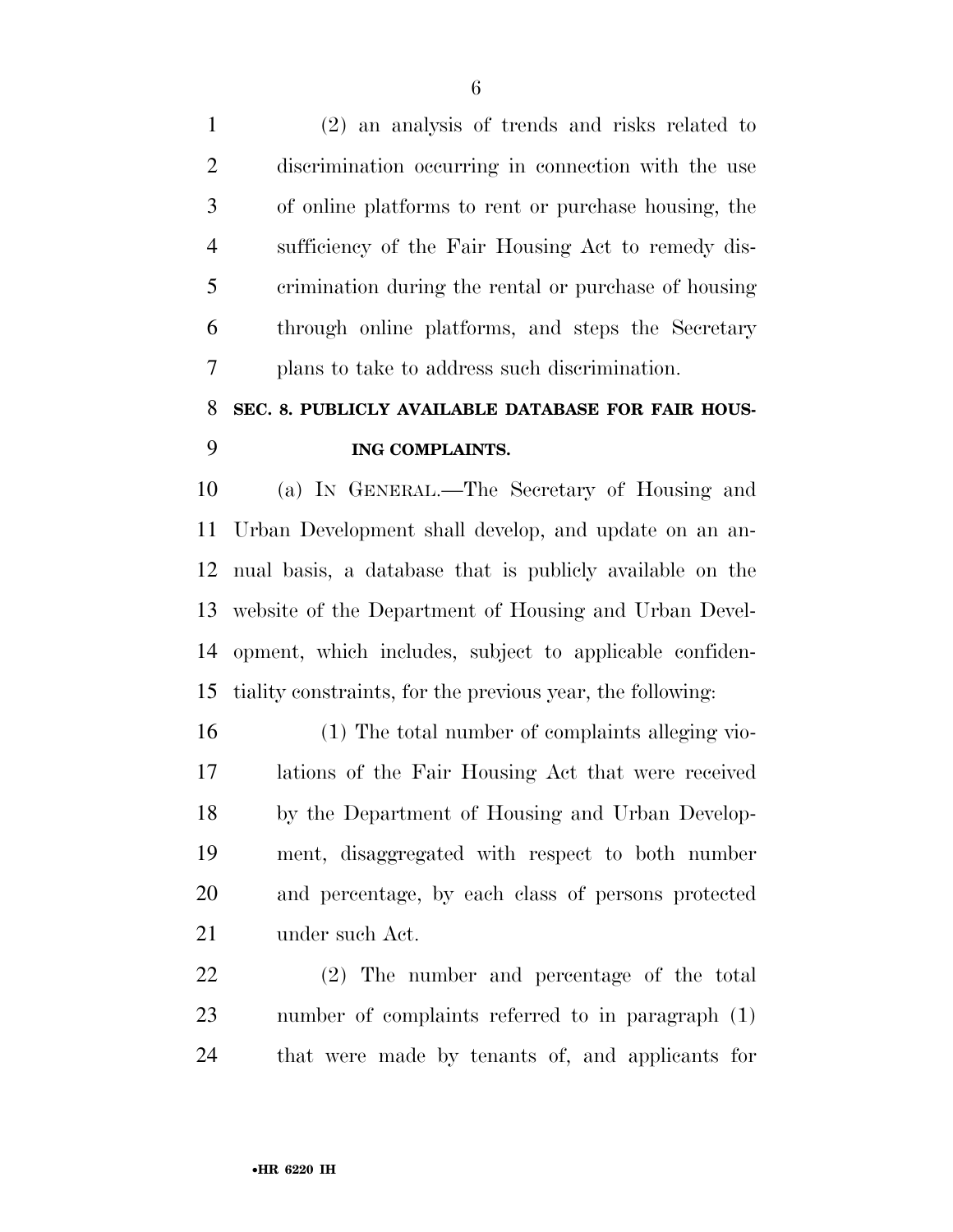(2) an analysis of trends and risks related to discrimination occurring in connection with the use of online platforms to rent or purchase housing, the sufficiency of the Fair Housing Act to remedy dis- crimination during the rental or purchase of housing through online platforms, and steps the Secretary plans to take to address such discrimination.

### **SEC. 8. PUBLICLY AVAILABLE DATABASE FOR FAIR HOUS-ING COMPLAINTS.**

 (a) IN GENERAL.—The Secretary of Housing and Urban Development shall develop, and update on an an- nual basis, a database that is publicly available on the website of the Department of Housing and Urban Devel- opment, which includes, subject to applicable confiden-tiality constraints, for the previous year, the following:

 (1) The total number of complaints alleging vio- lations of the Fair Housing Act that were received by the Department of Housing and Urban Develop- ment, disaggregated with respect to both number and percentage, by each class of persons protected under such Act.

 (2) The number and percentage of the total number of complaints referred to in paragraph (1) that were made by tenants of, and applicants for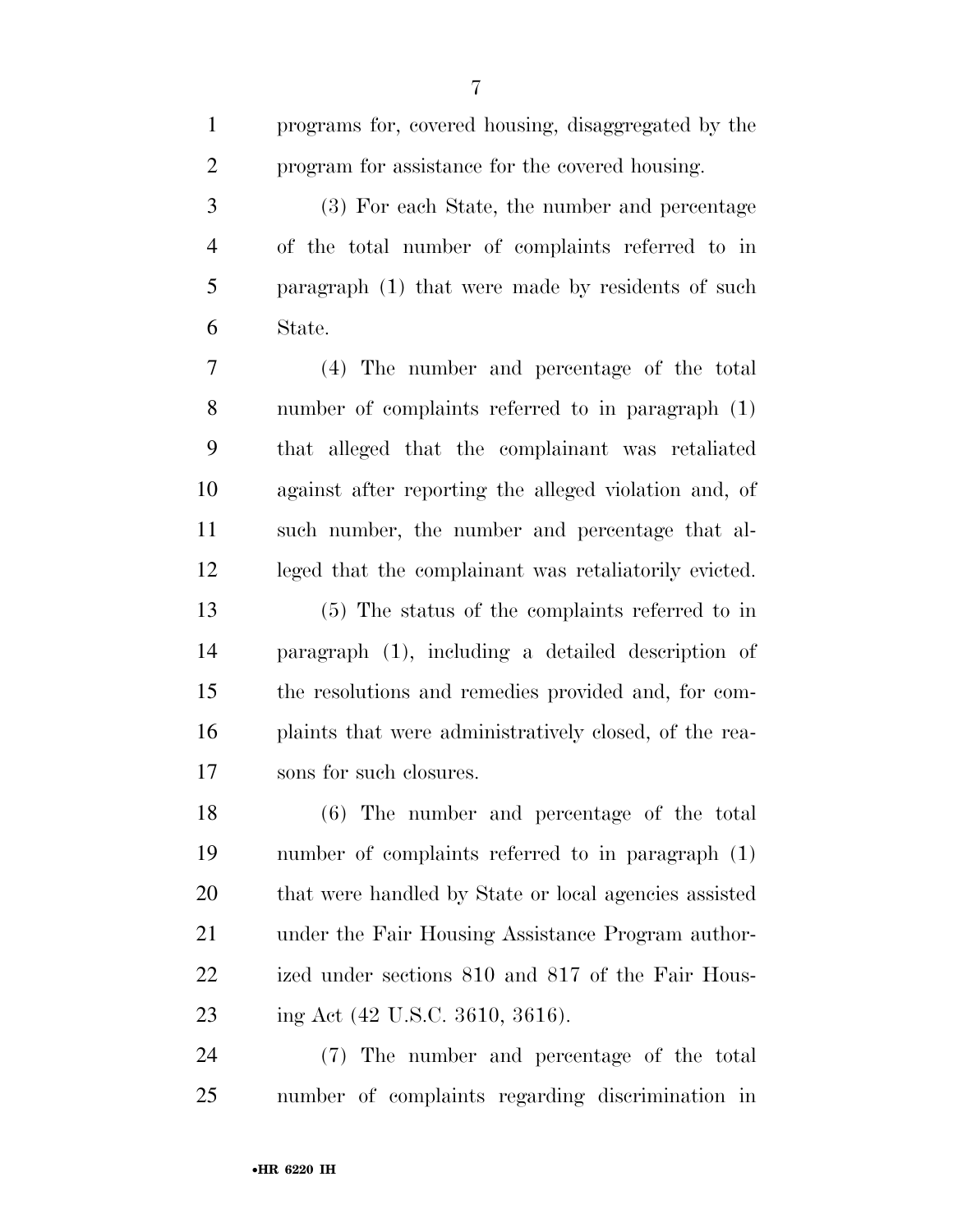|   | programs for, covered housing, disaggregated by the |
|---|-----------------------------------------------------|
| 2 | program for assistance for the covered housing.     |
| 3 | (3) For each State, the number and percentage       |
| 4 | of the total number of complaints referred to in    |
|   |                                                     |

 paragraph (1) that were made by residents of such State.

 (4) The number and percentage of the total number of complaints referred to in paragraph (1) that alleged that the complainant was retaliated against after reporting the alleged violation and, of such number, the number and percentage that al-leged that the complainant was retaliatorily evicted.

 (5) The status of the complaints referred to in paragraph (1), including a detailed description of the resolutions and remedies provided and, for com- plaints that were administratively closed, of the rea-sons for such closures.

 (6) The number and percentage of the total number of complaints referred to in paragraph (1) that were handled by State or local agencies assisted under the Fair Housing Assistance Program author- ized under sections 810 and 817 of the Fair Hous-23 ing Act (42 U.S.C. 3610, 3616).

 (7) The number and percentage of the total number of complaints regarding discrimination in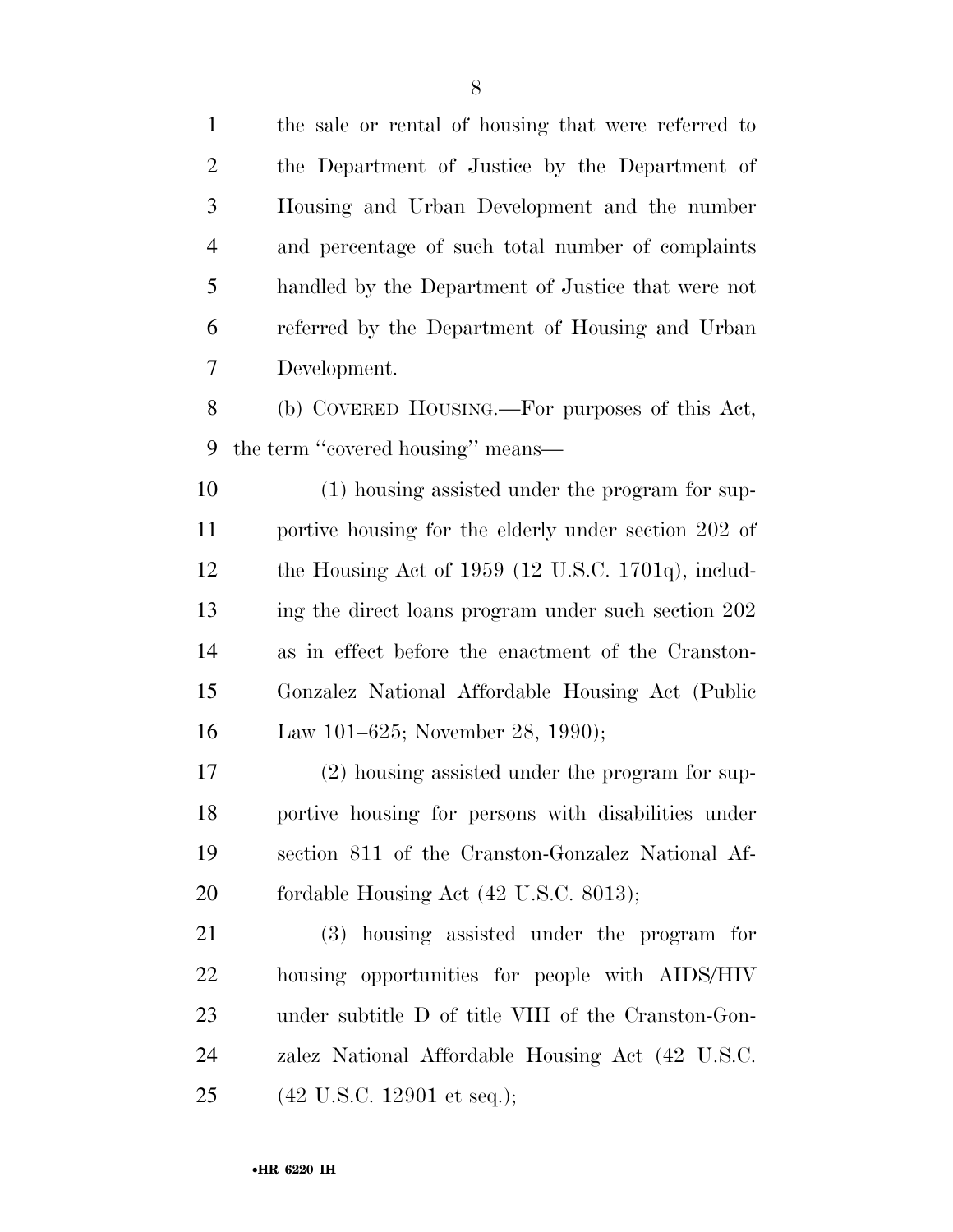the sale or rental of housing that were referred to the Department of Justice by the Department of Housing and Urban Development and the number and percentage of such total number of complaints handled by the Department of Justice that were not referred by the Department of Housing and Urban Development.

 (b) COVERED HOUSING.—For purposes of this Act, the term ''covered housing'' means—

 (1) housing assisted under the program for sup- portive housing for the elderly under section 202 of the Housing Act of 1959 (12 U.S.C. 1701q), includ-13 ing the direct loans program under such section 202 as in effect before the enactment of the Cranston- Gonzalez National Affordable Housing Act (Public Law 101–625; November 28, 1990);

 (2) housing assisted under the program for sup- portive housing for persons with disabilities under section 811 of the Cranston-Gonzalez National Af-20 fordable Housing Act (42 U.S.C. 8013);

 (3) housing assisted under the program for housing opportunities for people with AIDS/HIV under subtitle D of title VIII of the Cranston-Gon- zalez National Affordable Housing Act (42 U.S.C. (42 U.S.C. 12901 et seq.);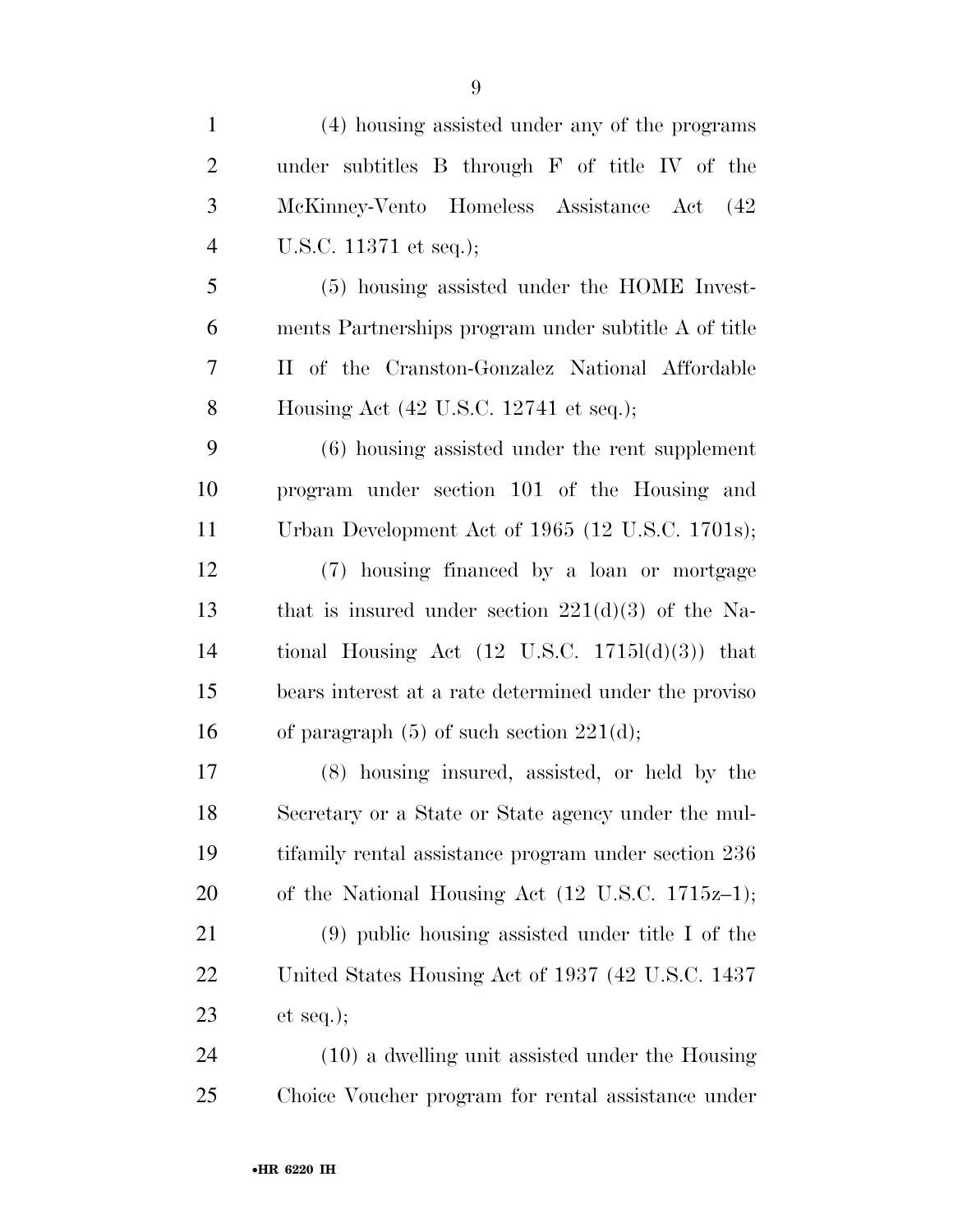| $\mathbf{1}$   | (4) housing assisted under any of the programs              |
|----------------|-------------------------------------------------------------|
| $\overline{2}$ | under subtitles B through F of title IV of the              |
| 3              | McKinney-Vento Homeless Assistance Act (42                  |
| $\overline{4}$ | U.S.C. 11371 et seq.);                                      |
| 5              | (5) housing assisted under the HOME Invest-                 |
| 6              | ments Partnerships program under subtitle A of title        |
| 7              | II of the Cranston-Gonzalez National Affordable             |
| 8              | Housing Act $(42 \text{ U.S.C. } 12741 \text{ et seq.});$   |
| 9              | $(6)$ housing assisted under the rent supplement            |
| 10             | program under section 101 of the Housing and                |
| 11             | Urban Development Act of 1965 (12 U.S.C. 1701s);            |
| 12             | (7) housing financed by a loan or mortgage                  |
| 13             | that is insured under section $221(d)(3)$ of the Na-        |
| 14             | tional Housing Act $(12 \text{ U.S.C. } 1715l(d)(3))$ that  |
| 15             | bears interest at a rate determined under the proviso       |
| 16             | of paragraph $(5)$ of such section $221(d)$ ;               |
| 17             | (8) housing insured, assisted, or held by the               |
| 18             | Secretary or a State or State agency under the mul-         |
| 19             | tifamily rental assistance program under section 236        |
| 20             | of the National Housing Act $(12 \text{ U.S.C. } 1715z-1);$ |
| 21             | $(9)$ public housing assisted under title I of the          |
| 22             | United States Housing Act of 1937 (42 U.S.C. 1437)          |
| 23             | et seq.);                                                   |
| 24             | $(10)$ a dwelling unit assisted under the Housing           |
| 25             | Choice Voucher program for rental assistance under          |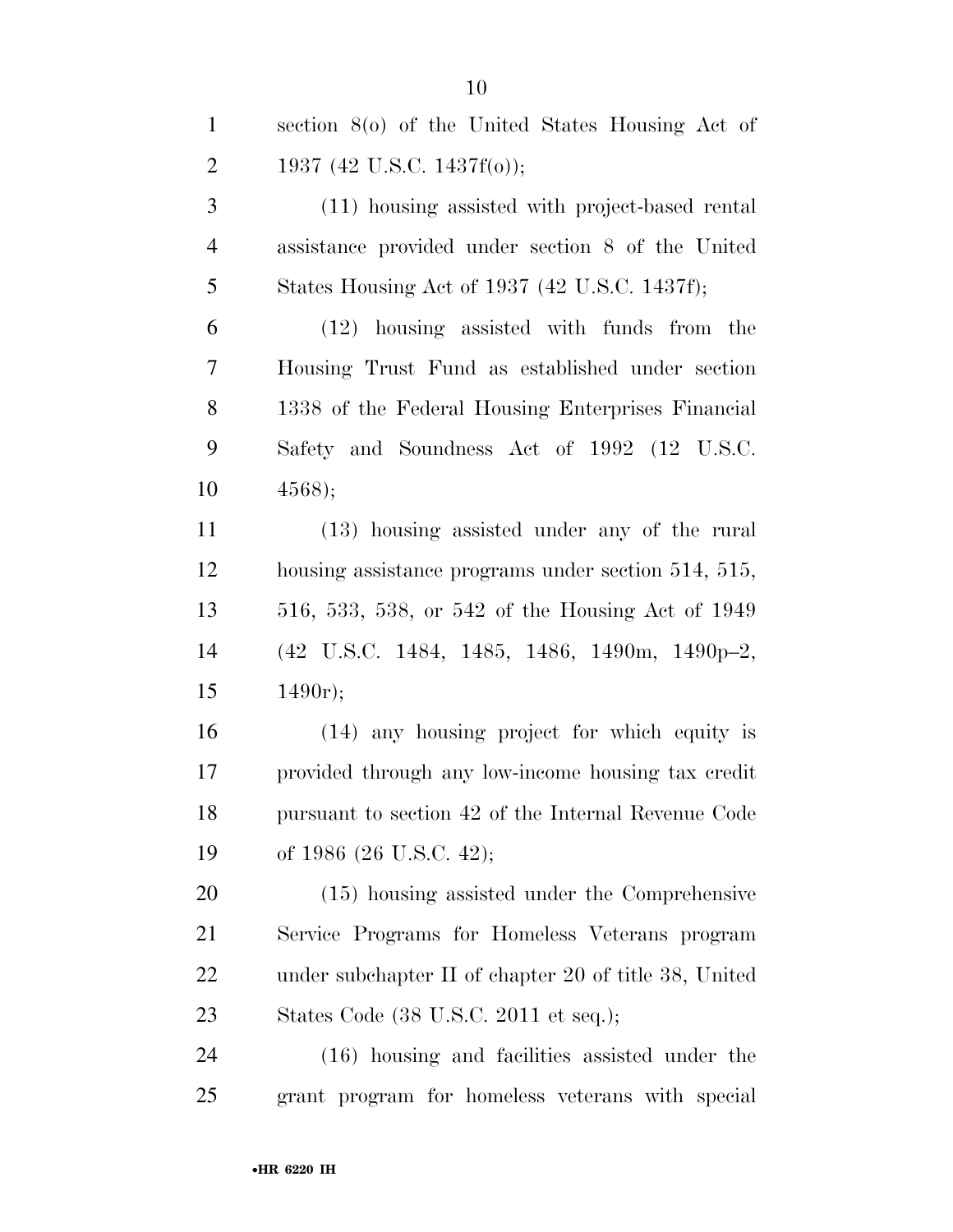| $\mathbf{1}$   | section $8(0)$ of the United States Housing Act of    |
|----------------|-------------------------------------------------------|
| $\overline{2}$ | 1937 (42 U.S.C. 1437f(o));                            |
| 3              | (11) housing assisted with project-based rental       |
| $\overline{4}$ | assistance provided under section 8 of the United     |
| 5              | States Housing Act of 1937 (42 U.S.C. 1437f);         |
| 6              | $(12)$ housing assisted with funds from the           |
| 7              | Housing Trust Fund as established under section       |
| 8              | 1338 of the Federal Housing Enterprises Financial     |
| 9              | Safety and Soundness Act of 1992 (12 U.S.C.           |
| 10             | 4568);                                                |
| 11             | (13) housing assisted under any of the rural          |
| 12             | housing assistance programs under section 514, 515,   |
| 13             | 516, 533, 538, or 542 of the Housing Act of 1949      |
| 14             | (42 U.S.C. 1484, 1485, 1486, 1490m, 1490p-2,          |
| 15             | 1490r);                                               |
| 16             | (14) any housing project for which equity is          |
| 17             | provided through any low-income housing tax credit    |
| 18             | pursuant to section 42 of the Internal Revenue Code   |
| 19             | of 1986 (26 U.S.C. 42);                               |
| 20             | $(15)$ housing assisted under the Comprehensive       |
| 21             | Service Programs for Homeless Veterans program        |
| 22             | under subchapter II of chapter 20 of title 38, United |
| 23             | States Code (38 U.S.C. 2011 et seq.);                 |

 (16) housing and facilities assisted under the grant program for homeless veterans with special